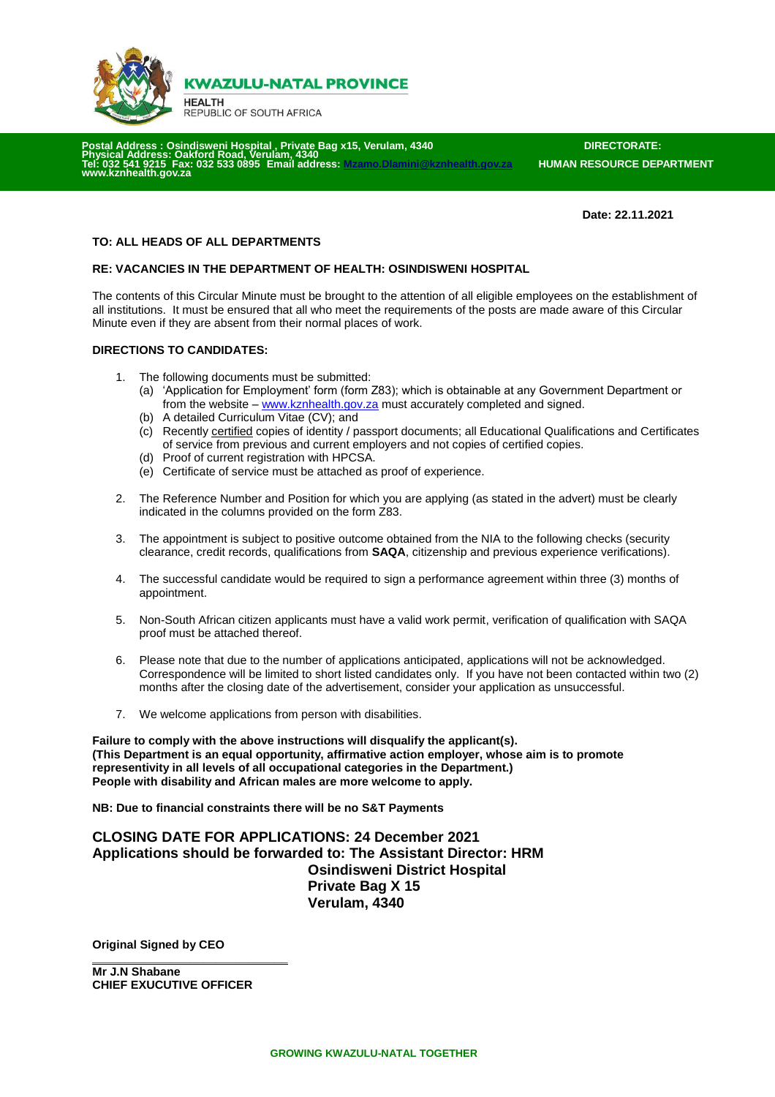

**KWAZULU-NATAL PROVINCE** 

**HEALTH** REPUBLIC OF SOUTH AFRICA

 **Postal Address In Address : Osindisweni Hospital , Private Bag x15, Verulam, 4340** DIRECTORATE:<br>S: Oakford Road Verulam 4340 **Phical Address: Oakford<br>032 541 9215 Fax: 032 Tel: 032 541 9215 Fax: 032 533 0895 Email address[: Mzamo.Dlamini@kznhealth.gov.za](mailto:Mzamo.Dlamini@kznhealth.gov.za) HUMAN RESOURCE DEPARTMENT [www.kznhealth.gov.za](http://www.kznhealth.gov.za/)**

 **Date: 22.11.2021**

### **TO: ALL HEADS OF ALL DEPARTMENTS**

#### **RE: VACANCIES IN THE DEPARTMENT OF HEALTH: OSINDISWENI HOSPITAL**

The contents of this Circular Minute must be brought to the attention of all eligible employees on the establishment of all institutions. It must be ensured that all who meet the requirements of the posts are made aware of this Circular Minute even if they are absent from their normal places of work.

### **DIRECTIONS TO CANDIDATES:**

- 1. The following documents must be submitted:
	- (a) 'Application for Employment' form (form Z83); which is obtainable at any Government Department or from the website – [www.kznhealth.gov.za](http://www.kznhealth.gov.za/) must accurately completed and signed.
	- (b) A detailed Curriculum Vitae (CV); and
	- (c) Recently certified copies of identity / passport documents; all Educational Qualifications and Certificates of service from previous and current employers and not copies of certified copies.
	- (d) Proof of current registration with HPCSA.
	- (e) Certificate of service must be attached as proof of experience.
- 2. The Reference Number and Position for which you are applying (as stated in the advert) must be clearly indicated in the columns provided on the form Z83.
- 3. The appointment is subject to positive outcome obtained from the NIA to the following checks (security clearance, credit records, qualifications from **SAQA**, citizenship and previous experience verifications).
- 4. The successful candidate would be required to sign a performance agreement within three (3) months of appointment.
- 5. Non-South African citizen applicants must have a valid work permit, verification of qualification with SAQA proof must be attached thereof.
- 6. Please note that due to the number of applications anticipated, applications will not be acknowledged. Correspondence will be limited to short listed candidates only. If you have not been contacted within two (2) months after the closing date of the advertisement, consider your application as unsuccessful.
- 7. We welcome applications from person with disabilities.

**Failure to comply with the above instructions will disqualify the applicant(s). (This Department is an equal opportunity, affirmative action employer, whose aim is to promote representivity in all levels of all occupational categories in the Department.) People with disability and African males are more welcome to apply.**

**NB: Due to financial constraints there will be no S&T Payments**

**CLOSING DATE FOR APPLICATIONS: 24 December 2021 Applications should be forwarded to: The Assistant Director: HRM Osindisweni District Hospital Private Bag X 15 Verulam, 4340**

**Original Signed by CEO**

**\_\_\_\_\_\_\_\_\_\_\_\_\_\_\_\_\_\_\_\_\_\_\_\_\_\_\_\_\_\_ Mr J.N Shabane CHIEF EXUCUTIVE OFFICER**